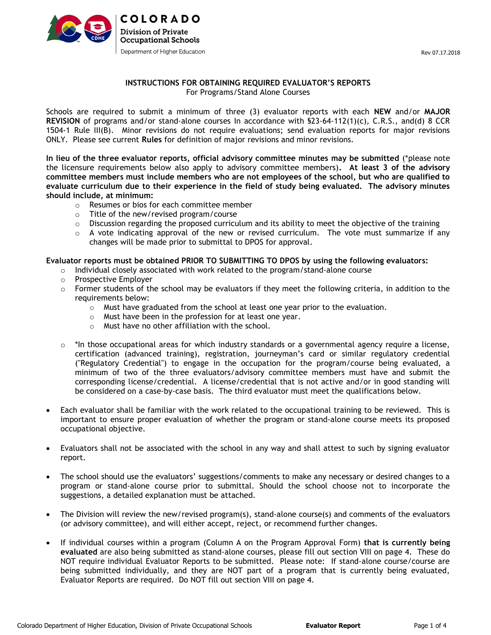

## INSTRUCTIONS FOR OBTAINING REQUIRED EVALUATOR'S REPORTS For Programs/Stand Alone Courses

Schools are required to submit a minimum of three (3) evaluator reports with each NEW and/or MAJOR REVISION of programs and/or stand-alone courses In accordance with §23-64-112(1)(c), C.R.S., and(d) 8 CCR 1504-1 Rule III(B). Minor revisions do not require evaluations; send evaluation reports for major revisions ONLY. Please see current Rules for definition of major revisions and minor revisions.

In lieu of the three evaluator reports, official advisory committee minutes may be submitted (\*please note the licensure requirements below also apply to advisory committee members). At least 3 of the advisory committee members must include members who are not employees of the school, but who are qualified to evaluate curriculum due to their experience in the field of study being evaluated. The advisory minutes should include, at minimum:

- o Resumes or bios for each committee member
- o Title of the new/revised program/course
- $\circ$  Discussion regarding the proposed curriculum and its ability to meet the objective of the training
- $\circ$  A vote indicating approval of the new or revised curriculum. The vote must summarize if any changes will be made prior to submittal to DPOS for approval.

#### Evaluator reports must be obtained PRIOR TO SUBMITTING TO DPOS by using the following evaluators:

- $\circ$  Individual closely associated with work related to the program/stand-alone course
- o Prospective Employer
- $\circ$  Former students of the school may be evaluators if they meet the following criteria, in addition to the requirements below:
	- o Must have graduated from the school at least one year prior to the evaluation.
	- o Must have been in the profession for at least one year.
	- o Must have no other affiliation with the school.
- $\circ$  \*In those occupational areas for which industry standards or a governmental agency require a license, certification (advanced training), registration, journeyman's card or similar regulatory credential ("Regulatory Credential") to engage in the occupation for the program/course being evaluated, a minimum of two of the three evaluators/advisory committee members must have and submit the corresponding license/credential. A license/credential that is not active and/or in good standing will be considered on a case-by-case basis. The third evaluator must meet the qualifications below.
- Each evaluator shall be familiar with the work related to the occupational training to be reviewed. This is important to ensure proper evaluation of whether the program or stand-alone course meets its proposed occupational objective.
- Evaluators shall not be associated with the school in any way and shall attest to such by signing evaluator report.
- The school should use the evaluators' suggestions/comments to make any necessary or desired changes to a program or stand-alone course prior to submittal. Should the school choose not to incorporate the suggestions, a detailed explanation must be attached.
- The Division will review the new/revised program(s), stand-alone course(s) and comments of the evaluators (or advisory committee), and will either accept, reject, or recommend further changes.
- If individual courses within a program (Column A on the Program Approval Form) that is currently being evaluated are also being submitted as stand-alone courses, please fill out section VIII on page 4. These do NOT require individual Evaluator Reports to be submitted. Please note: If stand-alone course/course are being submitted individually, and they are NOT part of a program that is currently being evaluated, Evaluator Reports are required. Do NOT fill out section VIII on page 4.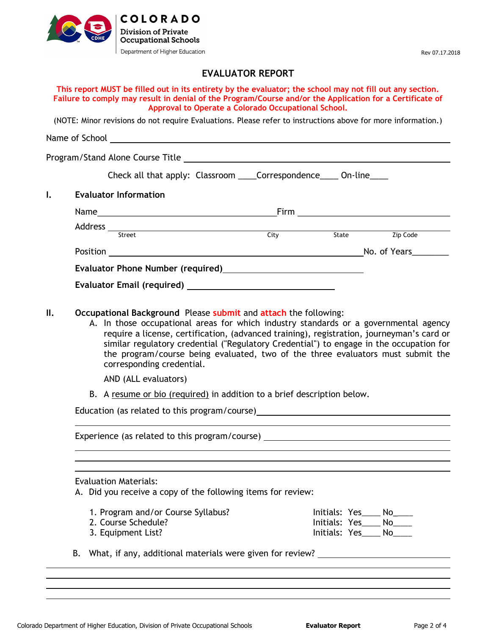

# EVALUATOR REPORT

| This report MUST be filled out in its entirety by the evaluator; the school may not fill out any section. |
|-----------------------------------------------------------------------------------------------------------|
| Failure to comply may result in denial of the Program/Course and/or the Application for a Certificate of  |
| Approval to Operate a Colorado Occupational School.                                                       |

(NOTE: Minor revisions do not require Evaluations. Please refer to instructions above for more information.)

Name of School <u>and a second controller with the second controller with the second controller with the second controller with the second controller with the second controller with the second controller with the second cont</u>

Program/Stand Alone Course Title

| Check all that apply: Classroom |  | _Correspondence__ | On-line |  |
|---------------------------------|--|-------------------|---------|--|
|---------------------------------|--|-------------------|---------|--|

I. Evaluator Information

| Name<br>the control of the control of the control of the control of the control of the control of                                                                                                                                   | Firm | the contract of the contract of the contract of the contract of the contract of |              |  |
|-------------------------------------------------------------------------------------------------------------------------------------------------------------------------------------------------------------------------------------|------|---------------------------------------------------------------------------------|--------------|--|
| Address                                                                                                                                                                                                                             |      |                                                                                 |              |  |
| Street                                                                                                                                                                                                                              | City | State                                                                           | Zip Code     |  |
| Position                                                                                                                                                                                                                            |      |                                                                                 | No. of Years |  |
| <b>Evaluator Phone Number (required)</b> Notation of the set of the set of the set of the set of the set of the set of the set of the set of the set of the set of the set of the set of the set of the set of the set of the set o |      |                                                                                 |              |  |
| <b>Evaluator Email (required)</b>                                                                                                                                                                                                   |      |                                                                                 |              |  |

- II. Occupational Background Please submit and attach the following:
	- A. In those occupational areas for which industry standards or a governmental agency require a license, certification, (advanced training), registration, journeyman's card or similar regulatory credential ("Regulatory Credential") to engage in the occupation for the program/course being evaluated, two of the three evaluators must submit the corresponding credential.

AND (ALL evaluators)

B. A resume or bio (required) in addition to a brief description below.

Education (as related to this program/course)

Experience (as related to this program/course)

#### Evaluation Materials:

 $\overline{a}$ 

 $\overline{a}$ 

 $\overline{a}$ 

 $\overline{a}$ 

 $\overline{a}$ 

A. Did you receive a copy of the following items for review:

- 1. Program and/or Course Syllabus? Initials: Yes \_\_\_\_ No\_\_\_\_ 2. Course Schedule? Initials: Yes \_\_\_\_ No\_\_\_\_
- 
- 3. Equipment List? The Contract of the Contract of the Initials: Yes\_\_\_\_\_ No\_\_\_\_
- B. What, if any, additional materials were given for review?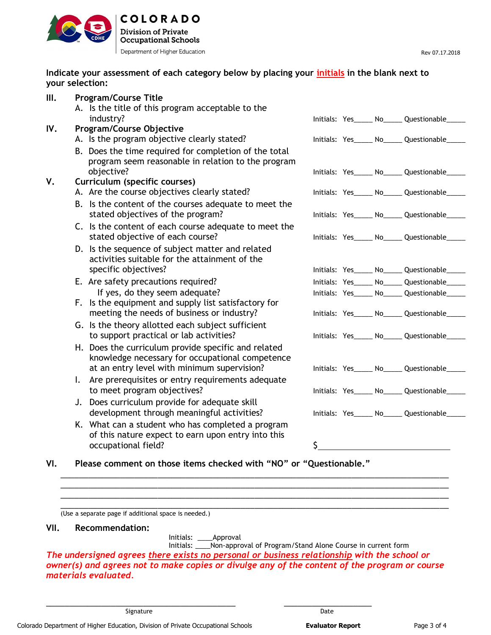

# Indicate your assessment of each category below by placing your initials in the blank next to your selection:

|     | <b>Program/Course Title</b>                                        |    |                                                 |
|-----|--------------------------------------------------------------------|----|-------------------------------------------------|
|     | A. Is the title of this program acceptable to the                  |    |                                                 |
|     | industry?                                                          |    | Initials: Yes_____ No_____ Questionable_        |
| IV. | <b>Program/Course Objective</b>                                    |    |                                                 |
|     | A. Is the program objective clearly stated?                        |    | Initials: Yes_____ No_____ Questionable_        |
|     | B. Does the time required for completion of the total              |    |                                                 |
|     | program seem reasonable in relation to the program                 |    |                                                 |
|     | objective?                                                         |    | Initials: Yes_____ No_____ Questionable_        |
|     | Curriculum (specific courses)                                      |    |                                                 |
|     | A. Are the course objectives clearly stated?                       |    | Initials: Yes______ No______ Questionable_____  |
|     | B. Is the content of the courses adequate to meet the              |    |                                                 |
|     | stated objectives of the program?                                  |    | Initials: Yes_____ No_____ Questionable_____    |
|     | C. Is the content of each course adequate to meet the              |    |                                                 |
|     | stated objective of each course?                                   |    | Initials: Yes_____ No_____ Questionable___      |
|     | D. Is the sequence of subject matter and related                   |    |                                                 |
|     | activities suitable for the attainment of the                      |    |                                                 |
|     | specific objectives?                                               |    | Initials: Yes_____ No_____ Questionable_____    |
|     | E. Are safety precautions required?                                |    | Initials: Yes______ No______ Questionable_____  |
|     | If yes, do they seem adequate?                                     |    | Initials: Yes_____ No_____ Questionable_____    |
|     | F. Is the equipment and supply list satisfactory for               |    |                                                 |
|     | meeting the needs of business or industry?                         |    | Initials: Yes______ No______ Questionable______ |
|     | G. Is the theory allotted each subject sufficient                  |    |                                                 |
|     | to support practical or lab activities?                            |    | Initials: Yes______ No_____ Questionable____    |
|     | H. Does the curriculum provide specific and related                |    |                                                 |
|     | knowledge necessary for occupational competence                    |    |                                                 |
|     | at an entry level with minimum supervision?                        |    | Initials: Yes_____ No_____ Questionable___      |
|     | I. Are prerequisites or entry requirements adequate                |    |                                                 |
|     | to meet program objectives?                                        |    | Initials: Yes______ No______ Questionable____   |
|     | J. Does curriculum provide for adequate skill                      |    |                                                 |
|     | development through meaningful activities?                         |    | Initials: Yes______ No______ Questionable____   |
|     | K. What can a student who has completed a program                  |    |                                                 |
|     | of this nature expect to earn upon entry into this                 |    |                                                 |
|     | occupational field?                                                | Ś. |                                                 |
|     |                                                                    |    |                                                 |
| VI. | Please comment on those items checked with "NO" or "Questionable." |    |                                                 |
|     |                                                                    |    |                                                 |

(Use a separate page if additional space is needed.)

## VII. Recommendation:

Initials: \_\_\_\_Approval

\_\_\_\_\_\_\_\_\_\_\_\_\_\_\_\_\_\_\_\_\_\_\_\_\_\_\_\_\_\_\_\_\_\_\_\_\_\_\_\_\_ \_\_\_\_\_\_\_\_\_\_\_\_\_\_\_\_\_\_\_

 Initials: \_\_\_\_Non-approval of Program/Stand Alone Course in current form The undersigned agrees there exists no personal or business relationship with the school or owner(s) and agrees not to make copies or divulge any of the content of the program or course materials evaluated.

\_\_\_\_\_\_\_\_\_\_\_\_\_\_\_\_\_\_\_\_\_\_\_\_\_\_\_\_\_\_\_\_\_\_\_\_\_\_\_\_\_\_\_\_\_\_\_\_\_\_\_\_\_\_\_\_\_\_\_\_\_\_\_\_\_\_\_\_\_\_\_\_\_\_\_\_\_\_\_\_\_\_\_\_